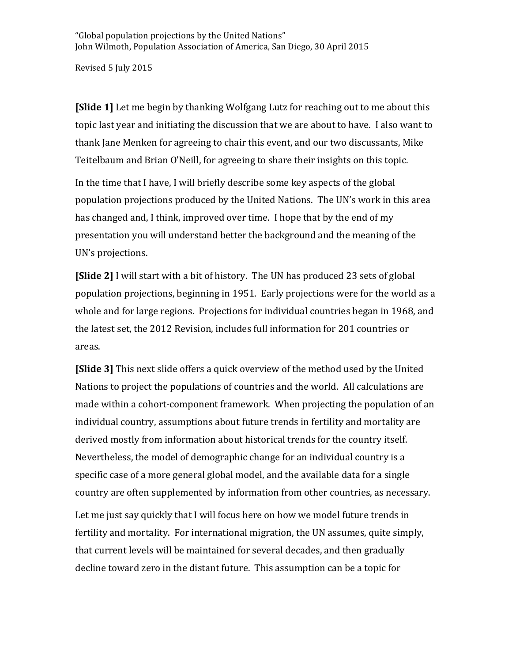Revised 5 July 2015

**[Slide 1]** Let me begin by thanking Wolfgang Lutz for reaching out to me about this topic last year and initiating the discussion that we are about to have. I also want to thank Jane Menken for agreeing to chair this event, and our two discussants, Mike Teitelbaum and Brian O'Neill, for agreeing to share their insights on this topic.

In the time that I have, I will briefly describe some key aspects of the global population projections produced by the United Nations. The UN's work in this area has changed and, I think, improved over time. I hope that by the end of my presentation you will understand better the background and the meaning of the UN's projections.

**[Slide 2]** I will start with a bit of history. The UN has produced 23 sets of global population projections, beginning in 1951. Early projections were for the world as a whole and for large regions. Projections for individual countries began in 1968, and the latest set, the 2012 Revision, includes full information for 201 countries or areas.

**[Slide 3]** This next slide offers a quick overview of the method used by the United Nations to project the populations of countries and the world. All calculations are made within a cohort-component framework. When projecting the population of an individual country, assumptions about future trends in fertility and mortality are derived mostly from information about historical trends for the country itself. Nevertheless, the model of demographic change for an individual country is a specific case of a more general global model, and the available data for a single country are often supplemented by information from other countries, as necessary.

Let me just say quickly that I will focus here on how we model future trends in fertility and mortality. For international migration, the UN assumes, quite simply, that current levels will be maintained for several decades, and then gradually decline toward zero in the distant future. This assumption can be a topic for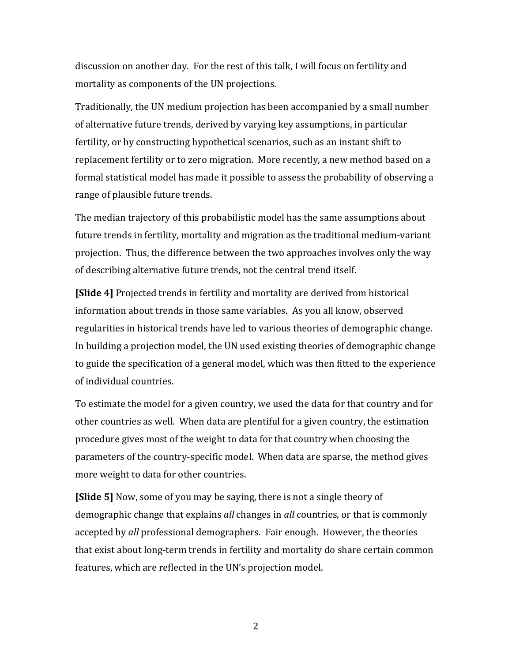discussion on another day. For the rest of this talk, I will focus on fertility and mortality as components of the UN projections.

Traditionally, the UN medium projection has been accompanied by a small number of alternative future trends, derived by varying key assumptions, in particular fertility, or by constructing hypothetical scenarios, such as an instant shift to replacement fertility or to zero migration. More recently, a new method based on a formal statistical model has made it possible to assess the probability of observing a range of plausible future trends.

The median trajectory of this probabilistic model has the same assumptions about future trends in fertility, mortality and migration as the traditional medium-variant projection. Thus, the difference between the two approaches involves only the way of describing alternative future trends, not the central trend itself.

**[Slide 4]** Projected trends in fertility and mortality are derived from historical information about trends in those same variables. As you all know, observed regularities in historical trends have led to various theories of demographic change. In building a projection model, the UN used existing theories of demographic change to guide the specification of a general model, which was then fitted to the experience of individual countries.

To estimate the model for a given country, we used the data for that country and for other countries as well. When data are plentiful for a given country, the estimation procedure gives most of the weight to data for that country when choosing the parameters of the country-specific model. When data are sparse, the method gives more weight to data for other countries.

**[Slide 5]** Now, some of you may be saying, there is not a single theory of demographic change that explains *all* changes in *all* countries, or that is commonly accepted by *all* professional demographers. Fair enough. However, the theories that exist about long-term trends in fertility and mortality do share certain common features, which are reflected in the UN's projection model.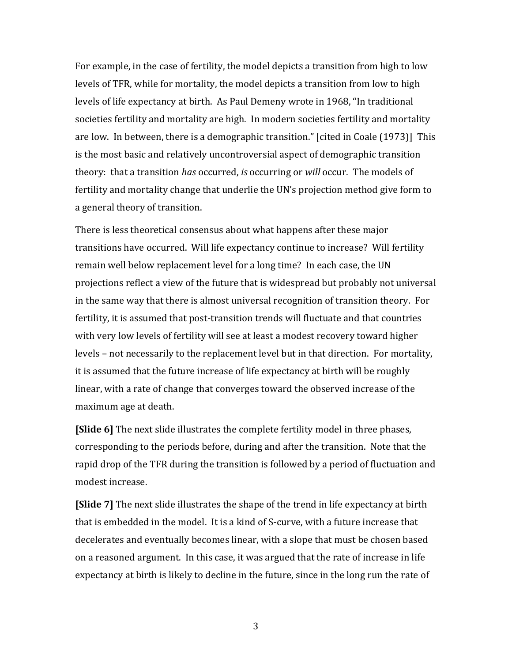For example, in the case of fertility, the model depicts a transition from high to low levels of TFR, while for mortality, the model depicts a transition from low to high levels of life expectancy at birth. As Paul Demeny wrote in 1968, "In traditional societies fertility and mortality are high. In modern societies fertility and mortality are low. In between, there is a demographic transition." [cited in Coale  $(1973)$ ] This is the most basic and relatively uncontroversial aspect of demographic transition theory: that a transition *has* occurred, *is* occurring or *will* occur. The models of fertility and mortality change that underlie the UN's projection method give form to a general theory of transition.

There is less theoretical consensus about what happens after these major transitions have occurred. Will life expectancy continue to increase? Will fertility remain well below replacement level for a long time? In each case, the UN projections reflect a view of the future that is widespread but probably not universal in the same way that there is almost universal recognition of transition theory. For fertility, it is assumed that post-transition trends will fluctuate and that countries with very low levels of fertility will see at least a modest recovery toward higher levels – not necessarily to the replacement level but in that direction. For mortality, it is assumed that the future increase of life expectancy at birth will be roughly linear, with a rate of change that converges toward the observed increase of the maximum age at death.

**[Slide 6]** The next slide illustrates the complete fertility model in three phases, corresponding to the periods before, during and after the transition. Note that the rapid drop of the TFR during the transition is followed by a period of fluctuation and modest increase.

**[Slide 7]** The next slide illustrates the shape of the trend in life expectancy at birth that is embedded in the model. It is a kind of S-curve, with a future increase that decelerates and eventually becomes linear, with a slope that must be chosen based on a reasoned argument. In this case, it was argued that the rate of increase in life expectancy at birth is likely to decline in the future, since in the long run the rate of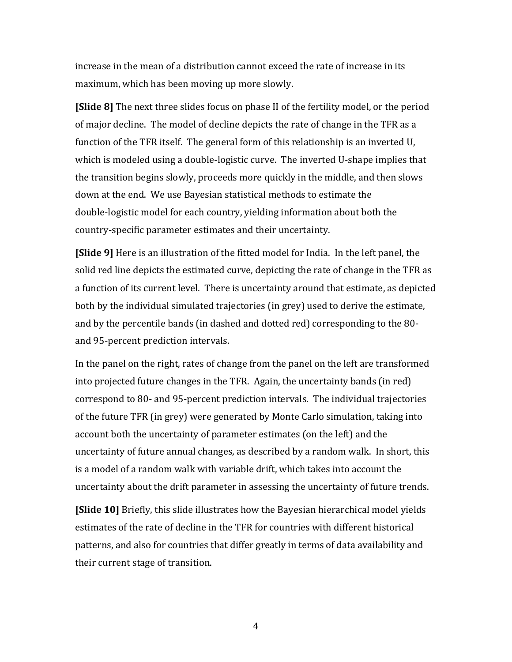increase in the mean of a distribution cannot exceed the rate of increase in its maximum, which has been moving up more slowly.

**[Slide 8]** The next three slides focus on phase II of the fertility model, or the period of major decline. The model of decline depicts the rate of change in the TFR as a function of the TFR itself. The general form of this relationship is an inverted U, which is modeled using a double-logistic curve. The inverted U-shape implies that the transition begins slowly, proceeds more quickly in the middle, and then slows down at the end. We use Bayesian statistical methods to estimate the double-logistic model for each country, yielding information about both the country-specific parameter estimates and their uncertainty.

**[Slide 9]** Here is an illustration of the fitted model for India. In the left panel, the solid red line depicts the estimated curve, depicting the rate of change in the TFR as a function of its current level. There is uncertainty around that estimate, as depicted both by the individual simulated trajectories (in grey) used to derive the estimate, and by the percentile bands (in dashed and dotted red) corresponding to the 80and 95-percent prediction intervals.

In the panel on the right, rates of change from the panel on the left are transformed into projected future changes in the TFR. Again, the uncertainty bands (in red) correspond to 80- and 95-percent prediction intervals. The individual trajectories of the future TFR (in grey) were generated by Monte Carlo simulation, taking into account both the uncertainty of parameter estimates (on the left) and the uncertainty of future annual changes, as described by a random walk. In short, this is a model of a random walk with variable drift, which takes into account the uncertainty about the drift parameter in assessing the uncertainty of future trends.

**[Slide 10]** Briefly, this slide illustrates how the Bayesian hierarchical model yields estimates of the rate of decline in the TFR for countries with different historical patterns, and also for countries that differ greatly in terms of data availability and their current stage of transition.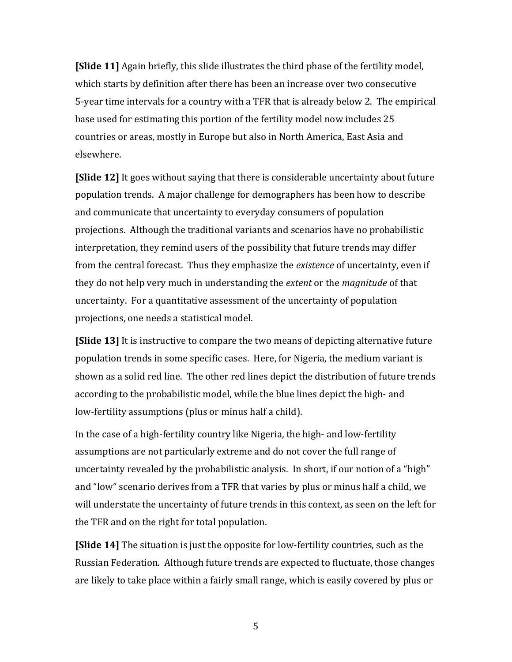**[Slide 11]** Again briefly, this slide illustrates the third phase of the fertility model, which starts by definition after there has been an increase over two consecutive 5-year time intervals for a country with a TFR that is already below 2. The empirical base used for estimating this portion of the fertility model now includes 25 countries or areas, mostly in Europe but also in North America, East Asia and elsewhere.

**[Slide 12]** It goes without saying that there is considerable uncertainty about future population trends. A major challenge for demographers has been how to describe and communicate that uncertainty to everyday consumers of population projections. Although the traditional variants and scenarios have no probabilistic interpretation, they remind users of the possibility that future trends may differ from the central forecast. Thus they emphasize the *existence* of uncertainty, even if they do not help very much in understanding the *extent* or the *magnitude* of that uncertainty. For a quantitative assessment of the uncertainty of population projections, one needs a statistical model.

**[Slide 13]** It is instructive to compare the two means of depicting alternative future population trends in some specific cases. Here, for Nigeria, the medium variant is shown as a solid red line. The other red lines depict the distribution of future trends according to the probabilistic model, while the blue lines depict the high- and low-fertility assumptions (plus or minus half a child).

In the case of a high-fertility country like Nigeria, the high- and low-fertility assumptions are not particularly extreme and do not cover the full range of uncertainty revealed by the probabilistic analysis. In short, if our notion of a "high" and "low" scenario derives from a TFR that varies by plus or minus half a child, we will understate the uncertainty of future trends in this context, as seen on the left for the TFR and on the right for total population.

**[Slide 14]** The situation is just the opposite for low-fertility countries, such as the Russian Federation. Although future trends are expected to fluctuate, those changes are likely to take place within a fairly small range, which is easily covered by plus or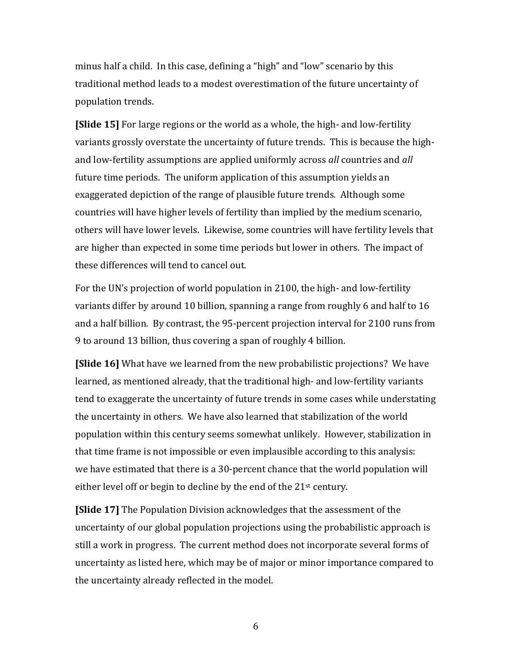minus half a child. In this case, defining a "high" and "low" scenario by this traditional method leads to a modest overestimation of the future uncertainty of population trends.

**[Slide 15]** For large regions or the world as a whole, the high- and low-fertility variants grossly overstate the uncertainty of future trends. This is because the highand low-fertility assumptions are applied uniformly across *all* countries and *all* future time periods. The uniform application of this assumption yields an exaggerated depiction of the range of plausible future trends. Although some countries will have higher levels of fertility than implied by the medium scenario, others will have lower levels. Likewise, some countries will have fertility levels that are higher than expected in some time periods but lower in others. The impact of these differences will tend to cancel out.

For the UN's projection of world population in 2100, the high- and low-fertility variants differ by around 10 billion, spanning a range from roughly 6 and half to 16 and a half billion. By contrast, the 95-percent projection interval for 2100 runs from 9 to around 13 billion, thus covering a span of roughly 4 billion.

**[Slide 16]** What have we learned from the new probabilistic projections? We have learned, as mentioned already, that the traditional high- and low-fertility variants tend to exaggerate the uncertainty of future trends in some cases while understating the uncertainty in others. We have also learned that stabilization of the world population within this century seems somewhat unlikely. However, stabilization in that time frame is not impossible or even implausible according to this analysis: we have estimated that there is a 30-percent chance that the world population will either level off or begin to decline by the end of the  $21^{st}$  century.

**[Slide 17]** The Population Division acknowledges that the assessment of the uncertainty of our global population projections using the probabilistic approach is still a work in progress. The current method does not incorporate several forms of uncertainty as listed here, which may be of major or minor importance compared to the uncertainty already reflected in the model.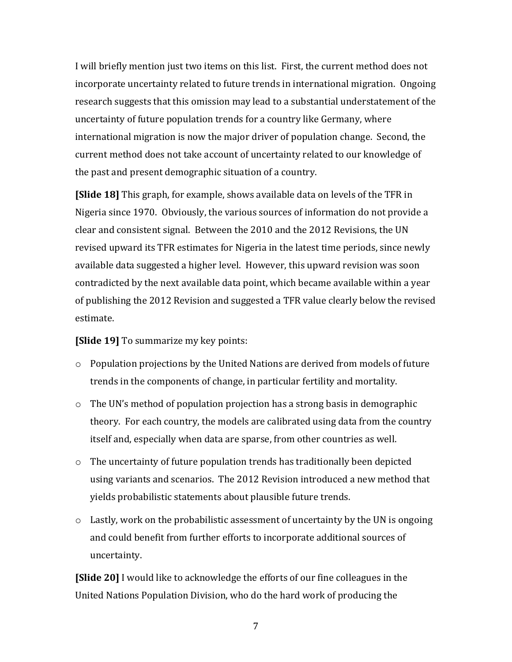I will briefly mention just two items on this list. First, the current method does not incorporate uncertainty related to future trends in international migration. Ongoing research suggests that this omission may lead to a substantial understatement of the uncertainty of future population trends for a country like Germany, where international migration is now the major driver of population change. Second, the current method does not take account of uncertainty related to our knowledge of the past and present demographic situation of a country.

**[Slide 18]** This graph, for example, shows available data on levels of the TFR in Nigeria since 1970. Obviously, the various sources of information do not provide a clear and consistent signal. Between the 2010 and the 2012 Revisions, the UN revised upward its TFR estimates for Nigeria in the latest time periods, since newly available data suggested a higher level. However, this upward revision was soon contradicted by the next available data point, which became available within a year of publishing the 2012 Revision and suggested a TFR value clearly below the revised estimate.

**[Slide 19]** To summarize my key points:

- $\circ$  Population projections by the United Nations are derived from models of future trends in the components of change, in particular fertility and mortality.
- $\circ$  The UN's method of population projection has a strong basis in demographic theory. For each country, the models are calibrated using data from the country itself and, especially when data are sparse, from other countries as well.
- $\circ$  The uncertainty of future population trends has traditionally been depicted using variants and scenarios. The 2012 Revision introduced a new method that yields probabilistic statements about plausible future trends.
- $\circ$  Lastly, work on the probabilistic assessment of uncertainty by the UN is ongoing and could benefit from further efforts to incorporate additional sources of uncertainty.

**[Slide 20]** I would like to acknowledge the efforts of our fine colleagues in the United Nations Population Division, who do the hard work of producing the